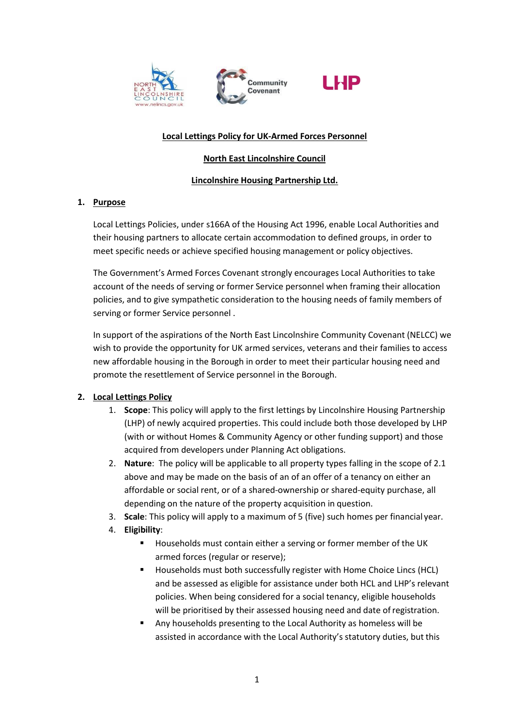





#### **Local Lettings Policy for UK-Armed Forces Personnel**

### **North East Lincolnshire Council**

# **Lincolnshire Housing Partnership Ltd.**

# **1. Purpose**

Local Lettings Policies, under s166A of the Housing Act 1996, enable Local Authorities and their housing partners to allocate certain accommodation to defined groups, in order to meet specific needs or achieve specified housing management or policy objectives.

The Government's Armed Forces Covenant strongly encourages Local Authorities to take account of the needs of serving or former Service personnel when framing their allocation policies, and to give sympathetic consideration to the housing needs of family members of serving or former Service personnel .

In support of the aspirations of the North East Lincolnshire Community Covenant (NELCC) we wish to provide the opportunity for UK armed services, veterans and their families to access new affordable housing in the Borough in order to meet their particular housing need and promote the resettlement of Service personnel in the Borough.

#### **2. Local Lettings Policy**

- 1. **Scope**: This policy will apply to the first lettings by Lincolnshire Housing Partnership (LHP) of newly acquired properties. This could include both those developed by LHP (with or without Homes & Community Agency or other funding support) and those acquired from developers under Planning Act obligations.
- 2. **Nature**: The policy will be applicable to all property types falling in the scope of 2.1 above and may be made on the basis of an of an offer of a tenancy on either an affordable or social rent, or of a shared-ownership or shared-equity purchase, all depending on the nature of the property acquisition in question.
- 3. **Scale**: This policy will apply to a maximum of 5 (five) such homes per financial year.
- 4. **Eligibility**:
	- Households must contain either a serving or former member of the UK armed forces (regular or reserve);
	- Households must both successfully register with Home Choice Lincs (HCL) and be assessed as eligible for assistance under both HCL and LHP's relevant policies. When being considered for a social tenancy, eligible households will be prioritised by their assessed housing need and date of registration.
	- Any households presenting to the Local Authority as homeless will be assisted in accordance with the Local Authority's statutory duties, but this